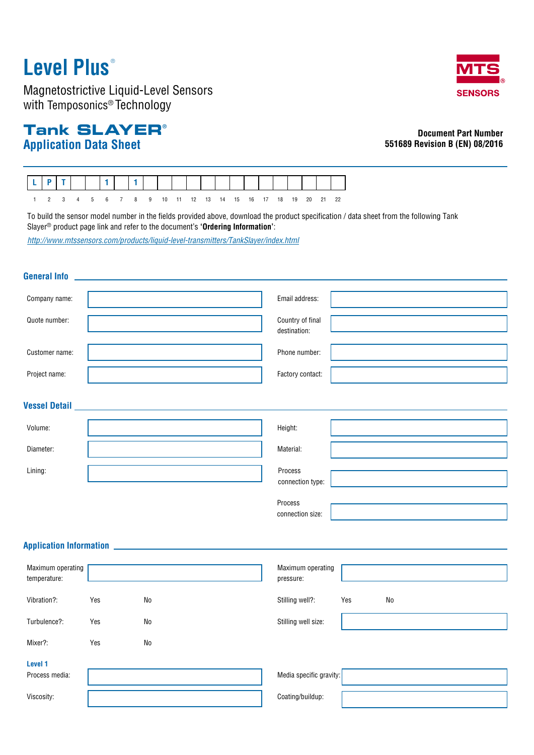# **Level Plus** ®

Magnetostrictive Liquid-Level Sensors with Temposonics® Technology

## **Application Data Sheet Tank SLAYER®**

**SENSORS** 

### **Document Part Number 551689 Revision B (EN) 08/2016**



To build the sensor model number in the fields provided above, download the product specification / data sheet from the following Tank Slayer® product page link and refer to the document's **'Ordering Information'**:

*http://www.mtssensors.com/products/liquid-level-transmitters/TankSlayer/index.html*

#### **General Info**

| Company name:                     |     |                                                | Email address:                   |  |
|-----------------------------------|-----|------------------------------------------------|----------------------------------|--|
| Quote number:                     |     |                                                | Country of final<br>destination: |  |
| Customer name:                    |     |                                                | Phone number:                    |  |
| Project name:                     |     |                                                | Factory contact:                 |  |
|                                   |     | Vessel Detail ________________________________ |                                  |  |
| Volume:                           |     |                                                | Height:                          |  |
| Diameter:                         |     |                                                | Material:                        |  |
| Lining:                           |     |                                                | Process<br>connection type:      |  |
|                                   |     |                                                | Process<br>connection size:      |  |
|                                   |     |                                                |                                  |  |
| Maximum operating<br>temperature: |     |                                                | Maximum operating<br>pressure:   |  |
| Vibration?:                       | Yes | ${\sf No}$                                     | Stilling well?:<br>Yes<br>No     |  |
| Turbulence?:                      | Yes | ${\sf No}$                                     | Stilling well size:              |  |
| Mixer?:                           | Yes | ${\sf No}$                                     |                                  |  |
| Level 1                           |     |                                                |                                  |  |
| Process media:                    |     |                                                | Media specific gravity:          |  |
| Viscosity:                        |     |                                                | Coating/buildup:                 |  |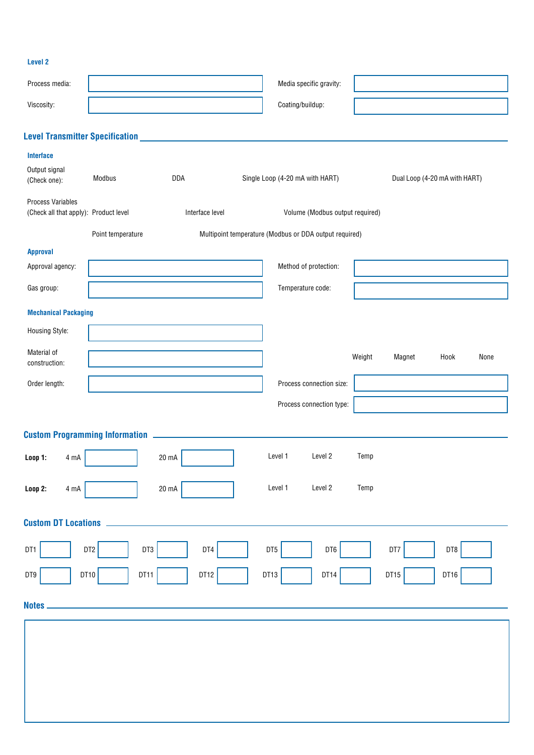### **Level 2**

| Process media:                                                    |                      | Media specific gravity:                                |                                  |  |  |
|-------------------------------------------------------------------|----------------------|--------------------------------------------------------|----------------------------------|--|--|
| Viscosity:                                                        |                      | Coating/buildup:                                       |                                  |  |  |
|                                                                   |                      |                                                        |                                  |  |  |
|                                                                   |                      |                                                        |                                  |  |  |
| Interface<br>Output signal<br>(Check one):                        | Modbus<br>DDA        | Single Loop (4-20 mA with HART)                        | Dual Loop (4-20 mA with HART)    |  |  |
| <b>Process Variables</b><br>(Check all that apply): Product level | Interface level      | Volume (Modbus output required)                        |                                  |  |  |
|                                                                   | Point temperature    | Multipoint temperature (Modbus or DDA output required) |                                  |  |  |
| <b>Approval</b><br>Approval agency:                               |                      | Method of protection:                                  |                                  |  |  |
| Gas group:                                                        |                      | Temperature code:                                      |                                  |  |  |
| <b>Mechanical Packaging</b>                                       |                      |                                                        |                                  |  |  |
| Housing Style:                                                    |                      |                                                        |                                  |  |  |
| Material of<br>construction:                                      |                      |                                                        | Weight<br>Magnet<br>Hook<br>None |  |  |
| Order length:                                                     |                      | Process connection size:                               |                                  |  |  |
|                                                                   |                      | Process connection type:                               |                                  |  |  |
|                                                                   |                      |                                                        |                                  |  |  |
| <b>Loop 1:</b><br>4 mA                                            | 20 mA                | Level 2<br>Level 1                                     | Temp                             |  |  |
| 4 mA<br>Loop 2:                                                   | $20 \text{ mA}$      | Level 1<br>Level 2                                     | Temp                             |  |  |
| <b>Custom DT Locations</b>                                        |                      |                                                        |                                  |  |  |
| DT1                                                               | DT2<br>DT3<br>DT4    | DT6<br>DT5                                             | DT8<br>DT7                       |  |  |
| DT9                                                               | DT10<br>DT11<br>DT12 | DT14<br>DT13                                           | DT15<br>DT16                     |  |  |
| <b>Notes</b>                                                      |                      |                                                        |                                  |  |  |
|                                                                   |                      |                                                        |                                  |  |  |
|                                                                   |                      |                                                        |                                  |  |  |
|                                                                   |                      |                                                        |                                  |  |  |
|                                                                   |                      |                                                        |                                  |  |  |
|                                                                   |                      |                                                        |                                  |  |  |